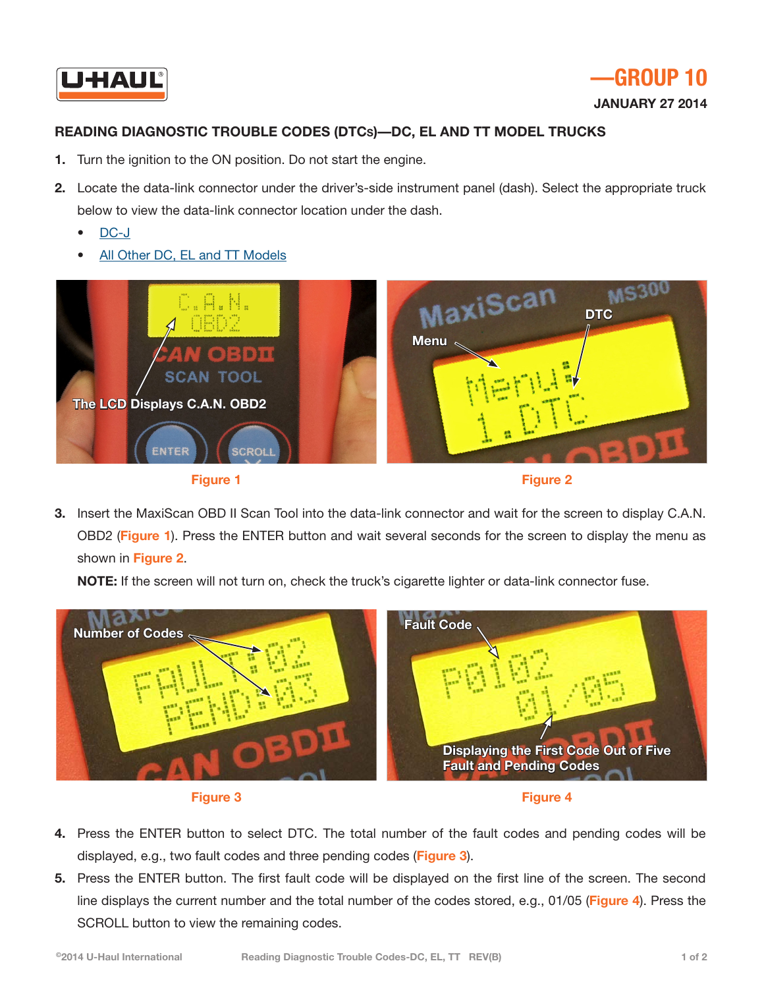

**January 27 2014** 

## **READING DIAGNOSTIC TROUBLE CODES (DTCs)—DC, EL AND TT MODEL TRUCKS**

- **1.** Turn the ignition to the ON position. Do not start the engine.
- **2.** Locate the data-link connector under the driver's-side instrument panel (dash). Select the appropriate truck below to view the data-link connector location under the dash.
	- [DC-J](http://repair.uhaul.com/images/DTCInstructions/ReaderConnectionImage-DC-J.pdf)
	- [All Other DC, EL and TT Models](http://repair.uhaul.com/images/DTCInstructions/ReaderConnectionImage-DC_DGKMNT-EL_BCDGIKM-TT-D.pdf)







**3.** Insert the MaxiScan OBD II Scan Tool into the data-link connector and wait for the screen to display C.A.N. OBD2 (**Figure 1**). Press the ENTER button and wait several seconds for the screen to display the menu as shown in **Figure 2**.

**NOTE:** If the screen will not turn on, check the truck's cigarette lighter or data-link connector fuse.







- **4.** Press the ENTER button to select DTC. The total number of the fault codes and pending codes will be displayed, e.g., two fault codes and three pending codes (**Figure 3**).
- **5.** Press the ENTER button. The first fault code will be displayed on the first line of the screen. The second line displays the current number and the total number of the codes stored, e.g., 01/05 (**Figure 4**). Press the SCROLL button to view the remaining codes.